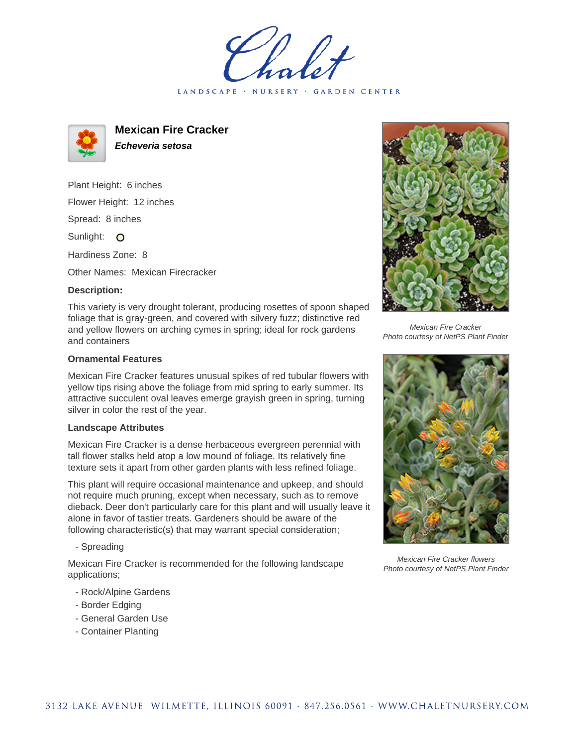LANDSCAPE · NURSERY · GARDEN CENTER



**Mexican Fire Cracker Echeveria setosa**

Plant Height: 6 inches Flower Height: 12 inches Spread: 8 inches Sunlight: O

Hardiness Zone: 8

Other Names: Mexican Firecracker

## **Description:**

This variety is very drought tolerant, producing rosettes of spoon shaped foliage that is gray-green, and covered with silvery fuzz; distinctive red and yellow flowers on arching cymes in spring; ideal for rock gardens and containers

## **Ornamental Features**

Mexican Fire Cracker features unusual spikes of red tubular flowers with yellow tips rising above the foliage from mid spring to early summer. Its attractive succulent oval leaves emerge grayish green in spring, turning silver in color the rest of the year.

## **Landscape Attributes**

Mexican Fire Cracker is a dense herbaceous evergreen perennial with tall flower stalks held atop a low mound of foliage. Its relatively fine texture sets it apart from other garden plants with less refined foliage.

This plant will require occasional maintenance and upkeep, and should not require much pruning, except when necessary, such as to remove dieback. Deer don't particularly care for this plant and will usually leave it alone in favor of tastier treats. Gardeners should be aware of the following characteristic(s) that may warrant special consideration;

- Spreading

Mexican Fire Cracker is recommended for the following landscape applications;

- Rock/Alpine Gardens
- Border Edging
- General Garden Use
- Container Planting



Mexican Fire Cracker Photo courtesy of NetPS Plant Finder



Mexican Fire Cracker flowers Photo courtesy of NetPS Plant Finder